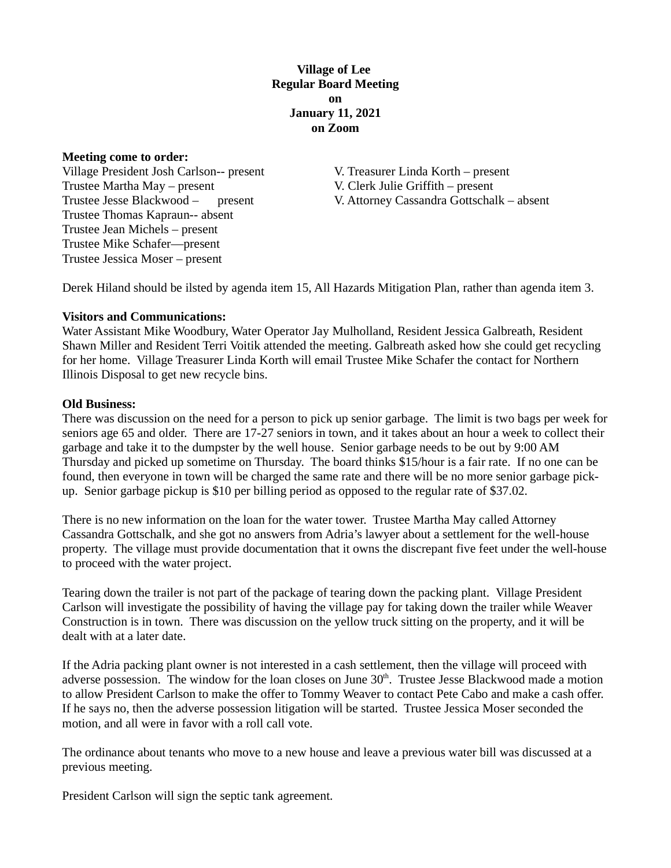# **Village of Lee Regular Board Meeting on January 11, 2021 on Zoom**

#### **Meeting come to order:**

Village President Josh Carlson-- present V. Treasurer Linda Korth – present Trustee Martha May – present V. Clerk Julie Griffith – present Trustee Thomas Kapraun-- absent Trustee Jean Michels – present Trustee Mike Schafer—present Trustee Jessica Moser – present

Trustee Jesse Blackwood – present V. Attorney Cassandra Gottschalk – absent

Derek Hiland should be ilsted by agenda item 15, All Hazards Mitigation Plan, rather than agenda item 3.

### **Visitors and Communications:**

Water Assistant Mike Woodbury, Water Operator Jay Mulholland, Resident Jessica Galbreath, Resident Shawn Miller and Resident Terri Voitik attended the meeting. Galbreath asked how she could get recycling for her home. Village Treasurer Linda Korth will email Trustee Mike Schafer the contact for Northern Illinois Disposal to get new recycle bins.

### **Old Business:**

There was discussion on the need for a person to pick up senior garbage. The limit is two bags per week for seniors age 65 and older. There are 17-27 seniors in town, and it takes about an hour a week to collect their garbage and take it to the dumpster by the well house. Senior garbage needs to be out by 9:00 AM Thursday and picked up sometime on Thursday. The board thinks \$15/hour is a fair rate. If no one can be found, then everyone in town will be charged the same rate and there will be no more senior garbage pickup. Senior garbage pickup is \$10 per billing period as opposed to the regular rate of \$37.02.

There is no new information on the loan for the water tower. Trustee Martha May called Attorney Cassandra Gottschalk, and she got no answers from Adria's lawyer about a settlement for the well-house property. The village must provide documentation that it owns the discrepant five feet under the well-house to proceed with the water project.

Tearing down the trailer is not part of the package of tearing down the packing plant. Village President Carlson will investigate the possibility of having the village pay for taking down the trailer while Weaver Construction is in town. There was discussion on the yellow truck sitting on the property, and it will be dealt with at a later date.

If the Adria packing plant owner is not interested in a cash settlement, then the village will proceed with adverse possession. The window for the loan closes on June 30<sup>th</sup>. Trustee Jesse Blackwood made a motion to allow President Carlson to make the offer to Tommy Weaver to contact Pete Cabo and make a cash offer. If he says no, then the adverse possession litigation will be started. Trustee Jessica Moser seconded the motion, and all were in favor with a roll call vote.

The ordinance about tenants who move to a new house and leave a previous water bill was discussed at a previous meeting.

President Carlson will sign the septic tank agreement.